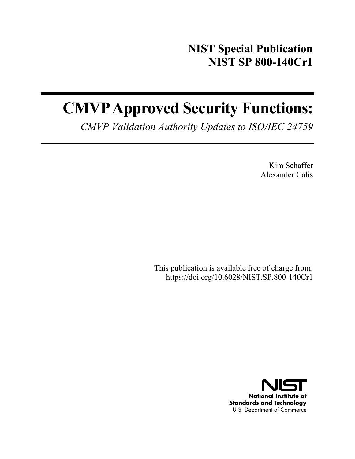# **NIST Special Publication NIST SP 800-140Cr1**

# **CMVP Approved Security Functions:**

*CMVP Validation Authority Updates to ISO/IEC 24759* 

Kim Schaffer Alexander Calis

This publication is available free of charge from: https://doi.org/10.6028/NIST.SP.800-140Cr1

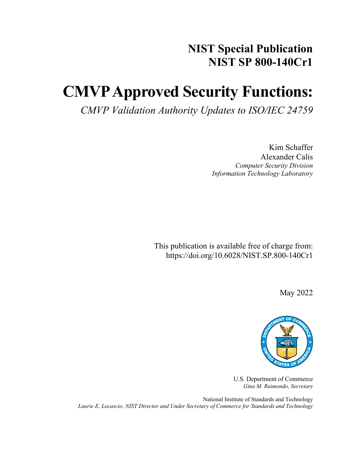# **NIST Special Publication NIST SP 800-140Cr1**

# **CMVP Approved Security Functions:**

*CMVP Validation Authority Updates to ISO/IEC 24759*

Kim Schaffer Alexander Calis *Computer Security Division Information Technology Laboratory*

This publication is available free of charge from: https://doi.org/10.6028/NIST.SP.800-140Cr1

May 2022



U.S. Department of Commerce *Gina M. Raimondo, Secretary*

National Institute of Standards and Technology *Laurie E. Locascio, NIST Director and Under Secretary of Commerce for Standards and Technology*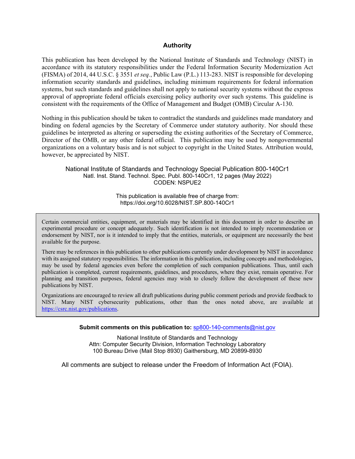#### **Authority**

This publication has been developed by the National Institute of Standards and Technology (NIST) in accordance with its statutory responsibilities under the Federal Information Security Modernization Act (FISMA) of 2014, 44 U.S.C. § 3551 *et seq.*, Public Law (P.L.) 113-283. NIST is responsible for developing information security standards and guidelines, including minimum requirements for federal information systems, but such standards and guidelines shall not apply to national security systems without the express approval of appropriate federal officials exercising policy authority over such systems. This guideline is consistent with the requirements of the Office of Management and Budget (OMB) Circular A-130.

Nothing in this publication should be taken to contradict the standards and guidelines made mandatory and binding on federal agencies by the Secretary of Commerce under statutory authority. Nor should these guidelines be interpreted as altering or superseding the existing authorities of the Secretary of Commerce, Director of the OMB, or any other federal official. This publication may be used by nongovernmental organizations on a voluntary basis and is not subject to copyright in the United States. Attribution would, however, be appreciated by NIST.

National Institute of Standards and Technology Special Publication 800-140Cr1 Natl. Inst. Stand. Technol. Spec. Publ. 800-140Cr1, 12 pages (May 2022) CODEN: NSPUE2

> This publication is available free of charge from: https://doi.org/10.6028/NIST.SP.800-140Cr1

Certain commercial entities, equipment, or materials may be identified in this document in order to describe an experimental procedure or concept adequately. Such identification is not intended to imply recommendation or endorsement by NIST, nor is it intended to imply that the entities, materials, or equipment are necessarily the best available for the purpose.

There may be references in this publication to other publications currently under development by NIST in accordance with its assigned statutory responsibilities. The information in this publication, including concepts and methodologies, may be used by federal agencies even before the completion of such companion publications. Thus, until each publication is completed, current requirements, guidelines, and procedures, where they exist, remain operative. For planning and transition purposes, federal agencies may wish to closely follow the development of these new publications by NIST.

Organizations are encouraged to review all draft publications during public comment periods and provide feedback to NIST. Many NIST cybersecurity publications, other than the ones noted above, are available at [https://csrc.nist.gov/publications.](https://csrc.nist.gov/publications)

**Submit comments on this publication to:** [sp800-140-comments@nist.gov](mailto:sp800-140-comments@nist.gov)

National Institute of Standards and Technology Attn: Computer Security Division, Information Technology Laboratory 100 Bureau Drive (Mail Stop 8930) Gaithersburg, MD 20899-8930

All comments are subject to release under the Freedom of Information Act (FOIA).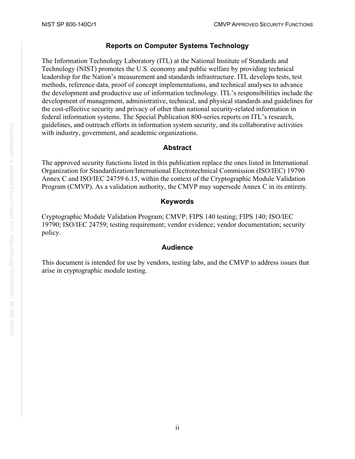# **Reports on Computer Systems Technology**

The Information Technology Laboratory (ITL) at the National Institute of Standards and Technology (NIST) promotes the U.S. economy and public welfare by providing technical leadership for the Nation's measurement and standards infrastructure. ITL develops tests, test methods, reference data, proof of concept implementations, and technical analyses to advance the development and productive use of information technology. ITL's responsibilities include the development of management, administrative, technical, and physical standards and guidelines for the cost-effective security and privacy of other than national security-related information in federal information systems. The Special Publication 800-series reports on ITL's research, guidelines, and outreach efforts in information system security, and its collaborative activities with industry, government, and academic organizations.

# **Abstract**

The approved security functions listed in this publication replace the ones listed in International Organization for Standardization/International Electrotechnical Commission (ISO/IEC) 19790 Annex C and ISO/IEC 24759 6.15, within the context of the Cryptographic Module Validation Program (CMVP). As a validation authority, the CMVP may supersede Annex C in its entirety.

# **Keywords**

Cryptographic Module Validation Program; CMVP; FIPS 140 testing; FIPS 140; ISO/IEC 19790; ISO/IEC 24759; testing requirement; vendor evidence; vendor documentation; security policy.

# **Audience**

This document is intended for use by vendors, testing labs, and the CMVP to address issues that arise in cryptographic module testing.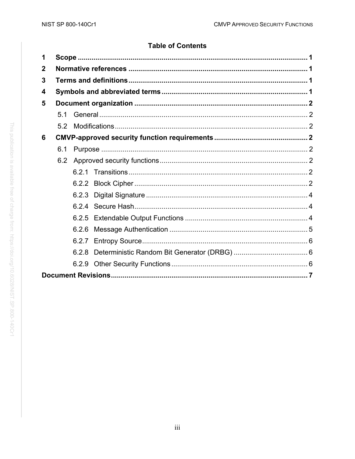# **Table of Contents**

| 1           |     |       |  |  |  |  |  |
|-------------|-----|-------|--|--|--|--|--|
| $\mathbf 2$ |     |       |  |  |  |  |  |
| 3           |     |       |  |  |  |  |  |
| 4           |     |       |  |  |  |  |  |
| 5           |     |       |  |  |  |  |  |
|             | 5.1 |       |  |  |  |  |  |
|             | 5.2 |       |  |  |  |  |  |
| 6           |     |       |  |  |  |  |  |
|             | 6.1 |       |  |  |  |  |  |
|             | 6.2 |       |  |  |  |  |  |
|             |     |       |  |  |  |  |  |
|             |     | 6.2.2 |  |  |  |  |  |
|             |     | 6.2.3 |  |  |  |  |  |
|             |     |       |  |  |  |  |  |
|             |     |       |  |  |  |  |  |
|             |     | 6.2.6 |  |  |  |  |  |
|             |     |       |  |  |  |  |  |
|             |     | 6.2.8 |  |  |  |  |  |
|             |     |       |  |  |  |  |  |
|             |     |       |  |  |  |  |  |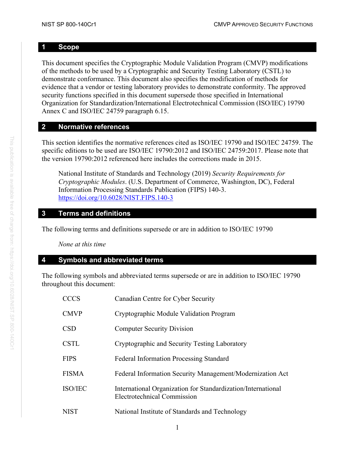# <span id="page-5-0"></span>**1 Scope**

This document specifies the Cryptographic Module Validation Program (CMVP) modifications of the methods to be used by a Cryptographic and Security Testing Laboratory (CSTL) to demonstrate conformance. This document also specifies the modification of methods for evidence that a vendor or testing laboratory provides to demonstrate conformity. The approved security functions specified in this document supersede those specified in International Organization for Standardization/International Electrotechnical Commission (ISO/IEC) 19790 Annex C and ISO/IEC 24759 paragraph 6.15.

# <span id="page-5-1"></span>**2 Normative references**

This section identifies the normative references cited as ISO/IEC 19790 and ISO/IEC 24759. The specific editions to be used are ISO/IEC 19790:2012 and ISO/IEC 24759:2017. Please note that the version 19790:2012 referenced here includes the corrections made in 2015.

National Institute of Standards and Technology (2019) *Security Requirements for Cryptographic Modules*. (U.S. Department of Commerce, Washington, DC), Federal Information Processing Standards Publication (FIPS) 140-3. <https://doi.org/10.6028/NIST.FIPS.140-3>

# <span id="page-5-2"></span>**3 Terms and definitions**

The following terms and definitions supersede or are in addition to ISO/IEC 19790

*None at this time*

# <span id="page-5-3"></span>**4 Symbols and abbreviated terms**

The following symbols and abbreviated terms supersede or are in addition to ISO/IEC 19790 throughout this document:

| <b>CCCS</b>  | Canadian Centre for Cyber Security                                                          |
|--------------|---------------------------------------------------------------------------------------------|
| <b>CMVP</b>  | Cryptographic Module Validation Program                                                     |
| <b>CSD</b>   | <b>Computer Security Division</b>                                                           |
| <b>CSTL</b>  | Cryptographic and Security Testing Laboratory                                               |
| <b>FIPS</b>  | <b>Federal Information Processing Standard</b>                                              |
| <b>FISMA</b> | Federal Information Security Management/Modernization Act                                   |
| ISO/IEC      | International Organization for Standardization/International<br>Electrotechnical Commission |
| <b>NIST</b>  | National Institute of Standards and Technology                                              |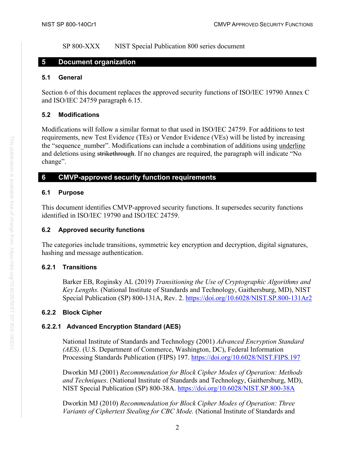SP 800-XXX NIST Special Publication 800 series document

# <span id="page-6-0"></span>**5 Document organization**

#### <span id="page-6-1"></span>**5.1 General**

Section 6 of this document replaces the approved security functions of ISO/IEC 19790 Annex C and ISO/IEC 24759 paragraph 6.15.

# <span id="page-6-2"></span>**5.2 Modifications**

Modifications will follow a similar format to that used in ISO/IEC 24759. For additions to test requirements, new Test Evidence (TEs) or Vendor Evidence (VEs) will be listed by increasing the "sequence\_number". Modifications can include a combination of additions using underline and deletions using strikethrough. If no changes are required, the paragraph will indicate "No change".

# <span id="page-6-3"></span>**6 CMVP-approved security function requirements**

# <span id="page-6-4"></span>**6.1 Purpose**

This document identifies CMVP-approved security functions. It supersedes security functions identified in ISO/IEC 19790 and ISO/IEC 24759.

# <span id="page-6-5"></span>**6.2 Approved security functions**

The categories include transitions, symmetric key encryption and decryption, digital signatures, hashing and message authentication.

# <span id="page-6-6"></span>**6.2.1 Transitions**

Barker EB, Roginsky AL (2019) *Transitioning the Use of Cryptographic Algorithms and Key Lengths.* (National Institute of Standards and Technology, Gaithersburg, MD), NIST Special Publication (SP) 800-131A, Rev. 2.<https://doi.org/10.6028/NIST.SP.800-131Ar2>

# <span id="page-6-7"></span>**6.2.2 Block Cipher**

# **6.2.2.1 Advanced Encryption Standard (AES)**

National Institute of Standards and Technology (2001) *Advanced Encryption Standard (AES)*. (U.S. Department of Commerce, Washington, DC), Federal Information Processing Standards Publication (FIPS) 197.<https://doi.org/10.6028/NIST.FIPS.197>

Dworkin MJ (2001) *Recommendation for Block Cipher Modes of Operation: Methods and Techniques*. (National Institute of Standards and Technology, Gaithersburg, MD), NIST Special Publication (SP) 800-38A.<https://doi.org/10.6028/NIST.SP.800-38A>

Dworkin MJ (2010) *Recommendation for Block Cipher Modes of Operation: Three Variants of Ciphertext Stealing for CBC Mode.* (National Institute of Standards and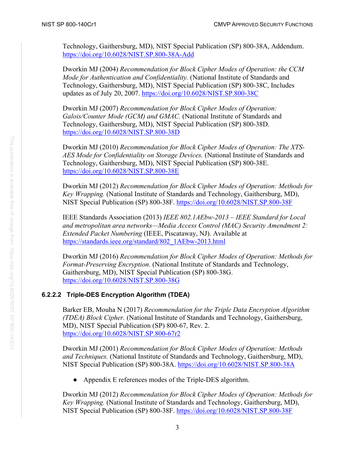Technology, Gaithersburg, MD), NIST Special Publication (SP) 800-38A, Addendum. <https://doi.org/10.6028/NIST.SP.800-38A-Add>

Dworkin MJ (2004) *Recommendation for Block Cipher Modes of Operation: the CCM Mode for Authentication and Confidentiality.* (National Institute of Standards and Technology, Gaithersburg, MD), NIST Special Publication (SP) 800-38C, Includes updates as of July 20, 2007.<https://doi.org/10.6028/NIST.SP.800-38C>

Dworkin MJ (2007) *Recommendation for Block Cipher Modes of Operation: Galois/Counter Mode (GCM) and GMAC.* (National Institute of Standards and Technology, Gaithersburg, MD), NIST Special Publication (SP) 800-38D. <https://doi.org/10.6028/NIST.SP.800-38D>

Dworkin MJ (2010) *Recommendation for Block Cipher Modes of Operation: The XTS-AES Mode for Confidentiality on Storage Devices.* (National Institute of Standards and Technology, Gaithersburg, MD), NIST Special Publication (SP) 800-38E. <https://doi.org/10.6028/NIST.SP.800-38E>

Dworkin MJ (2012) *Recommendation for Block Cipher Modes of Operation: Methods for Key Wrapping.* (National Institute of Standards and Technology, Gaithersburg, MD), NIST Special Publication (SP) 800-38F.<https://doi.org/10.6028/NIST.SP.800-38F>

IEEE Standards Association (2013) *IEEE 802.1AEbw-2013* – *IEEE Standard for Local and metropolitan area networks—Media Access Control (MAC) Security Amendment 2: Extended Packet Numbering* (IEEE, Piscataway, NJ). Available at [https://standards.ieee.org/standard/802\\_1AEbw-2013.html](https://standards.ieee.org/standard/802_1AEbw-2013.html)

Dworkin MJ (2016) *Recommendation for Block Cipher Modes of Operation: Methods for Format-Preserving Encryption.* (National Institute of Standards and Technology, Gaithersburg, MD), NIST Special Publication (SP) 800-38G. <https://doi.org/10.6028/NIST.SP.800-38G>

# **6.2.2.2 Triple-DES Encryption Algorithm (TDEA)**

Barker EB, Mouha N (2017) *Recommendation for the Triple Data Encryption Algorithm (TDEA) Block Cipher.* (National Institute of Standards and Technology, Gaithersburg, MD), NIST Special Publication (SP) 800-67, Rev. 2. <https://doi.org/10.6028/NIST.SP.800-67r2>

Dworkin MJ (2001) *Recommendation for Block Cipher Modes of Operation: Methods and Techniques.* (National Institute of Standards and Technology, Gaithersburg, MD), NIST Special Publication (SP) 800-38A.<https://doi.org/10.6028/NIST.SP.800-38A>

Appendix E references modes of the Triple-DES algorithm.

Dworkin MJ (2012) *Recommendation for Block Cipher Modes of Operation: Methods for Key Wrapping.* (National Institute of Standards and Technology, Gaithersburg, MD), NIST Special Publication (SP) 800-38F.<https://doi.org/10.6028/NIST.SP.800-38F>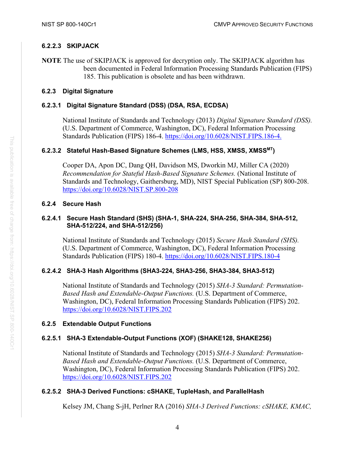# **6.2.2.3 SKIPJACK**

**NOTE** The use of SKIPJACK is approved for decryption only. The SKIPJACK algorithm has been documented in Federal Information Processing Standards Publication (FIPS) 185. This publication is obsolete and has been withdrawn.

### <span id="page-8-0"></span>**6.2.3 Digital Signature**

# **6.2.3.1 Digital Signature Standard (DSS) (DSA, RSA, ECDSA)**

National Institute of Standards and Technology (2013) *Digital Signature Standard (DSS).*  (U.S. Department of Commerce, Washington, DC), Federal Information Processing Standards Publication (FIPS) 186-4. [https://doi.org/10.6028/NIST.FIPS.186-4.](https://doi.org/10.6028/NIST.FIPS.186-4)

### **6.2.3.2 Stateful Hash-Based Signature Schemes (LMS, HSS, XMSS, XMSSMT)**

Cooper DA, Apon DC, Dang QH, Davidson MS, Dworkin MJ, Miller CA (2020) *Recommendation for Stateful Hash-Based Signature Schemes.* (National Institute of Standards and Technology, Gaithersburg, MD), NIST Special Publication (SP) 800-208. <https://doi.org/10.6028/NIST.SP.800-208>

### <span id="page-8-1"></span>**6.2.4 Secure Hash**

#### **6.2.4.1 Secure Hash Standard (SHS) (SHA-1, SHA-224, SHA-256, SHA-384, SHA-512, SHA-512/224, and SHA-512/256)**

National Institute of Standards and Technology (2015) *Secure Hash Standard (SHS).*  (U.S. Department of Commerce, Washington, DC), Federal Information Processing Standards Publication (FIPS) 180-4.<https://doi.org/10.6028/NIST.FIPS.180-4>

# **6.2.4.2 SHA-3 Hash Algorithms (SHA3-224, SHA3-256, SHA3-384, SHA3-512)**

National Institute of Standards and Technology (2015) *SHA-3 Standard: Permutation-Based Hash and Extendable-Output Functions.* (U.S. Department of Commerce, Washington, DC), Federal Information Processing Standards Publication (FIPS) 202. <https://doi.org/10.6028/NIST.FIPS.202>

#### <span id="page-8-2"></span>**6.2.5 Extendable Output Functions**

# **6.2.5.1 SHA-3 Extendable-Output Functions (XOF) (SHAKE128, SHAKE256)**

National Institute of Standards and Technology (2015) *SHA-3 Standard: Permutation-Based Hash and Extendable-Output Functions.* (U.S. Department of Commerce, Washington, DC), Federal Information Processing Standards Publication (FIPS) 202. <https://doi.org/10.6028/NIST.FIPS.202>

# **6.2.5.2 SHA-3 Derived Functions: cSHAKE, TupleHash, and ParallelHash**

Kelsey JM, Chang S-jH, Perlner RA (2016) *SHA-3 Derived Functions: cSHAKE, KMAC,*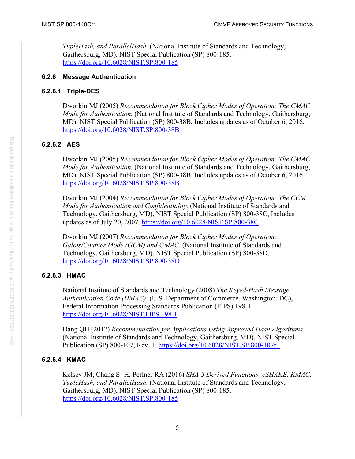*TupleHash, and ParallelHash.* (National Institute of Standards and Technology, Gaithersburg, MD), NIST Special Publication (SP) 800-185. <https://doi.org/10.6028/NIST.SP.800-185>

# <span id="page-9-0"></span>**6.2.6 Message Authentication**

# **6.2.6.1 Triple-DES**

Dworkin MJ (2005) *Recommendation for Block Cipher Modes of Operation: The CMAC Mode for Authentication.* (National Institute of Standards and Technology, Gaithersburg, MD), NIST Special Publication (SP) 800-38B, Includes updates as of October 6, 2016. <https://doi.org/10.6028/NIST.SP.800-38B>

# **6.2.6.2 AES**

Dworkin MJ (2005) *Recommendation for Block Cipher Modes of Operation: The CMAC Mode for Authentication.* (National Institute of Standards and Technology, Gaithersburg, MD), NIST Special Publication (SP) 800-38B, Includes updates as of October 6, 2016. <https://doi.org/10.6028/NIST.SP.800-38B>

Dworkin MJ (2004) *Recommendation for Block Cipher Modes of Operation: The CCM Mode for Authentication and Confidentiality.* (National Institute of Standards and Technology, Gaithersburg, MD), NIST Special Publication (SP) 800-38C, Includes updates as of July 20, 2007.<https://doi.org/10.6028/NIST.SP.800-38C>

Dworkin MJ (2007) *Recommendation for Block Cipher Modes of Operation: Galois/Counter Mode (GCM) and GMAC.* (National Institute of Standards and Technology, Gaithersburg, MD), NIST Special Publication (SP) 800-38D. <https://doi.org/10.6028/NIST.SP.800-38D>

# **6.2.6.3 HMAC**

National Institute of Standards and Technology (2008) *The Keyed-Hash Message Authentication Code (HMAC)*. (U.S. Department of Commerce, Washington, DC), Federal Information Processing Standards Publication (FIPS) 198-1. <https://doi.org/10.6028/NIST.FIPS.198-1>

Dang QH (2012) *Recommendation for Applications Using Approved Hash Algorithms.*  (National Institute of Standards and Technology, Gaithersburg, MD), NIST Special Publication (SP) 800-107, Rev. 1.<https://doi.org/10.6028/NIST.SP.800-107r1>

# **6.2.6.4 KMAC**

Kelsey JM, Chang S-jH, Perlner RA (2016) *SHA-3 Derived Functions: cSHAKE, KMAC, TupleHash, and ParallelHash.* (National Institute of Standards and Technology, Gaithersburg, MD), NIST Special Publication (SP) 800-185. <https://doi.org/10.6028/NIST.SP.800-185>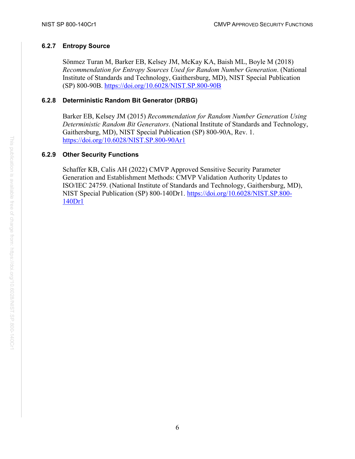## <span id="page-10-0"></span>**6.2.7 Entropy Source**

Sönmez Turan M, Barker EB, Kelsey JM, McKay KA, Baish ML, Boyle M (2018) *Recommendation for Entropy Sources Used for Random Number Generation*. (National Institute of Standards and Technology, Gaithersburg, MD), NIST Special Publication (SP) 800-90B.<https://doi.org/10.6028/NIST.SP.800-90B>

### <span id="page-10-1"></span>**6.2.8 Deterministic Random Bit Generator (DRBG)**

Barker EB, Kelsey JM (2015) *Recommendation for Random Number Generation Using Deterministic Random Bit Generators*. (National Institute of Standards and Technology, Gaithersburg, MD), NIST Special Publication (SP) 800-90A, Rev. 1. <https://doi.org/10.6028/NIST.SP.800-90Ar1>

### <span id="page-10-2"></span>**6.2.9 Other Security Functions**

Schaffer KB, Calis AH (2022) CMVP Approved Sensitive Security Parameter Generation and Establishment Methods: CMVP Validation Authority Updates to ISO/IEC 24759. (National Institute of Standards and Technology, Gaithersburg, MD), NIST Special Publication (SP) 800-140Dr1. [https://doi.org/10.6028/NIST.SP.800-](https://doi.org/10.6028/NIST.SP.800-140Dr1) [140Dr1](https://doi.org/10.6028/NIST.SP.800-140Dr1)